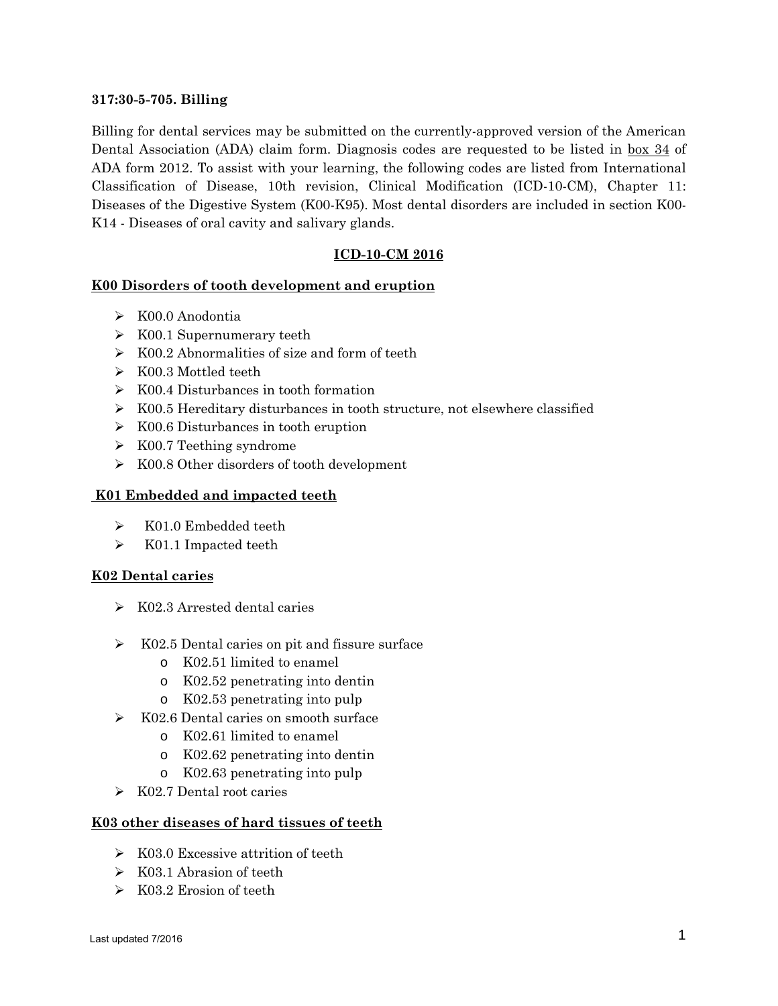#### **317:30-5-705. Billing**

Billing for dental services may be submitted on the currently-approved version of the American Dental Association (ADA) claim form. Diagnosis codes are requested to be listed in box 34 of ADA form 2012. To assist with your learning, the following codes are listed from International Classification of Disease, 10th revision, Clinical Modification (ICD-10-CM), Chapter 11: Diseases of the Digestive System (K00-K95). Most dental disorders are included in section K00- K14 - Diseases of oral cavity and salivary glands.

## **ICD-10-CM 2016**

## **K00 Disorders of tooth development and eruption**

- K00.0 Anodontia
- $\triangleright$  K00.1 Supernumerary teeth
- $\triangleright$  K00.2 Abnormalities of size and form of teeth
- K00.3 Mottled teeth
- $\triangleright$  K00.4 Disturbances in tooth formation
- $\triangleright$  K00.5 Hereditary disturbances in tooth structure, not elsewhere classified
- $\triangleright$  K00.6 Disturbances in tooth eruption
- $\triangleright$  K00.7 Teething syndrome
- $\triangleright$  K00.8 Other disorders of tooth development

## **K01 Embedded and impacted teeth**

- $\triangleright$  K01.0 Embedded teeth
- K01.1 Impacted teeth

## **K02 Dental caries**

- $\triangleright$  K02.3 Arrested dental caries
- $\triangleright$  K02.5 Dental caries on pit and fissure surface
	- o K02.51 limited to enamel
	- o K02.52 penetrating into dentin
	- o K02.53 penetrating into pulp
- $\triangleright$  K02.6 Dental caries on smooth surface
	- o K02.61 limited to enamel
	- o K02.62 penetrating into dentin
	- o K02.63 penetrating into pulp
- $\triangleright$  K02.7 Dental root caries

## **K03 other diseases of hard tissues of teeth**

- $\triangleright$  K03.0 Excessive attrition of teeth
- $\triangleright$  K03.1 Abrasion of teeth
- $\triangleright$  K03.2 Erosion of teeth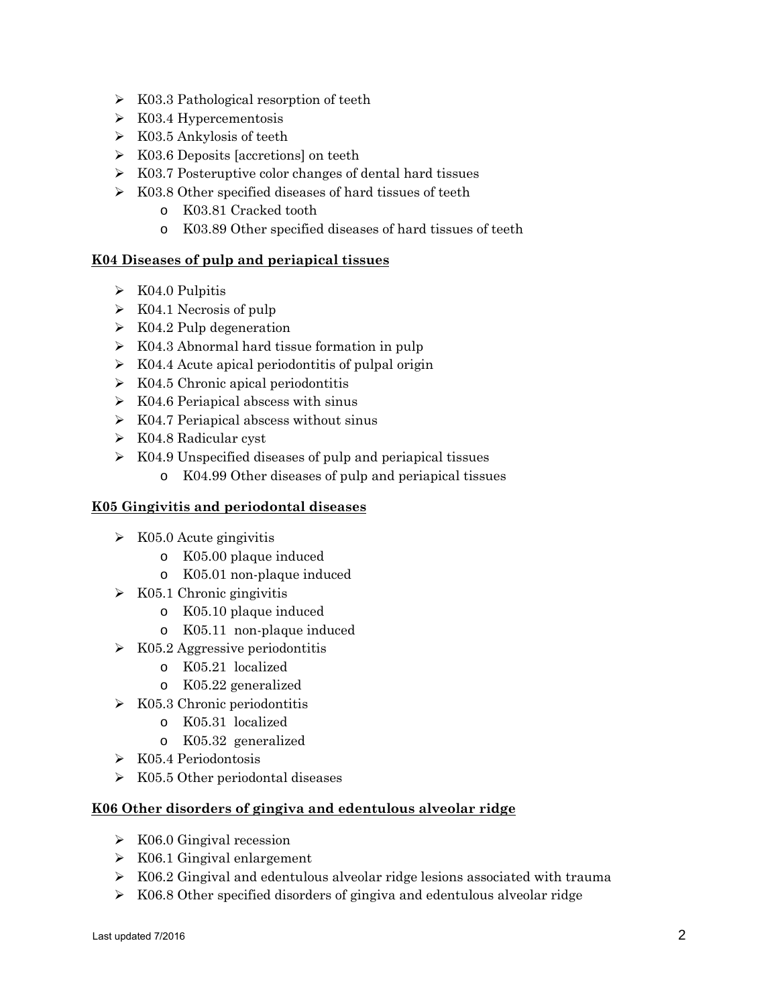- $\triangleright$  K03.3 Pathological resorption of teeth
- $\triangleright$  K03.4 Hypercementosis
- $\triangleright$  K03.5 Ankylosis of teeth
- $\triangleright$  K03.6 Deposits [accretions] on teeth
- $\triangleright$  K03.7 Posteruptive color changes of dental hard tissues
- $\triangleright$  K03.8 Other specified diseases of hard tissues of teeth
	- o K03.81 Cracked tooth
	- o K03.89 Other specified diseases of hard tissues of teeth

# **K04 Diseases of pulp and periapical tissues**

- $\triangleright$  K04.0 Pulpitis
- $\triangleright$  K04.1 Necrosis of pulp
- $\triangleright$  K04.2 Pulp degeneration
- $\triangleright$  K04.3 Abnormal hard tissue formation in pulp
- $\triangleright$  K04.4 Acute apical periodontitis of pulpal origin
- $\triangleright$  K04.5 Chronic apical periodontitis
- $\triangleright$  K04.6 Periapical abscess with sinus
- $\triangleright$  K04.7 Periapical abscess without sinus
- K04.8 Radicular cyst
- $\triangleright$  K04.9 Unspecified diseases of pulp and periapical tissues
	- o K04.99 Other diseases of pulp and periapical tissues

#### **K05 Gingivitis and periodontal diseases**

- $\triangleright$  K05.0 Acute gingivitis
	- o K05.00 plaque induced
	- o K05.01 non-plaque induced
- $\triangleright$  K05.1 Chronic gingivitis
	- o K05.10 plaque induced
	- o K05.11 non-plaque induced
- $\triangleright$  K05.2 Aggressive periodontitis
	- o K05.21 localized
	- o K05.22 generalized
- $\triangleright$  K05.3 Chronic periodontitis
	- o K05.31 localized
	- o K05.32 generalized
- K05.4 Periodontosis
- $\triangleright$  K05.5 Other periodontal diseases

## **K06 Other disorders of gingiva and edentulous alveolar ridge**

- $\triangleright$  K06.0 Gingival recession
- $\triangleright$  K06.1 Gingival enlargement
- $\triangleright$  K06.2 Gingival and edentulous alveolar ridge lesions associated with trauma
- $\triangleright$  K06.8 Other specified disorders of gingiva and edentulous alveolar ridge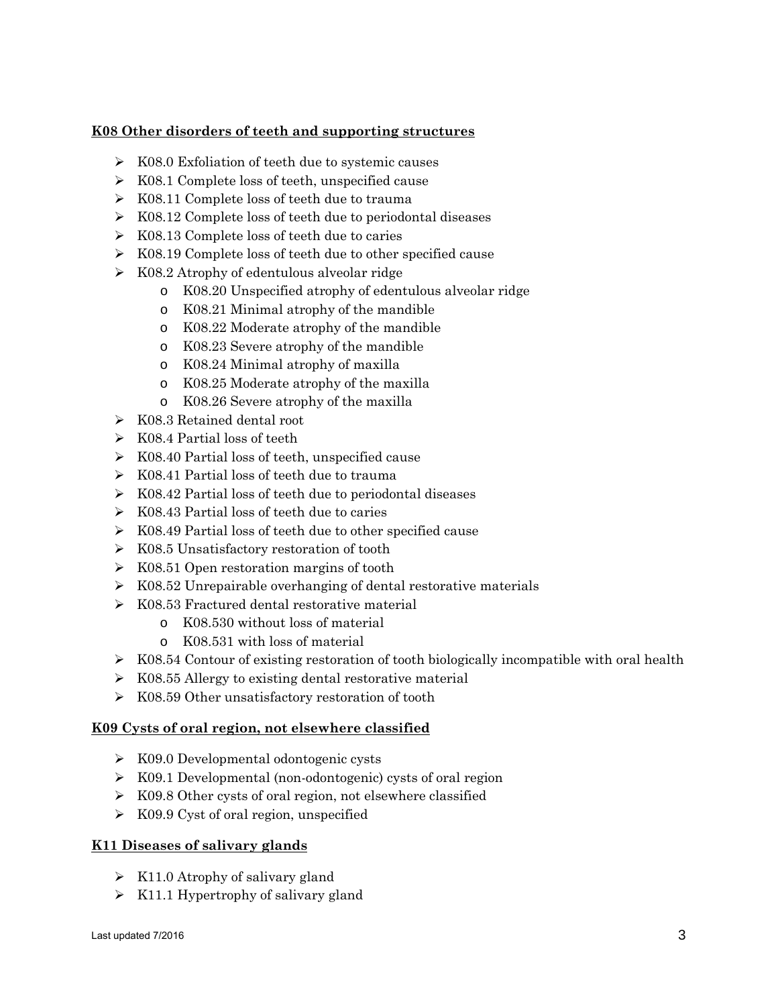# **K08 Other disorders of teeth and supporting structures**

- $\triangleright$  K08.0 Exfoliation of teeth due to systemic causes
- $\triangleright$  K08.1 Complete loss of teeth, unspecified cause
- $\triangleright$  K08.11 Complete loss of teeth due to trauma
- $\triangleright$  K08.12 Complete loss of teeth due to periodontal diseases
- $\triangleright$  K08.13 Complete loss of teeth due to caries
- K08.19 Complete loss of teeth due to other specified cause
- $\triangleright$  K08.2 Atrophy of edentulous alveolar ridge
	- o K08.20 Unspecified atrophy of edentulous alveolar ridge
	- o K08.21 Minimal atrophy of the mandible
	- o K08.22 Moderate atrophy of the mandible
	- o K08.23 Severe atrophy of the mandible
	- o K08.24 Minimal atrophy of maxilla
	- o K08.25 Moderate atrophy of the maxilla
	- o K08.26 Severe atrophy of the maxilla
- K08.3 Retained dental root
- $\triangleright$  K08.4 Partial loss of teeth
- $\triangleright$  K08.40 Partial loss of teeth, unspecified cause
- $\triangleright$  K08.41 Partial loss of teeth due to trauma
- $\triangleright$  K08.42 Partial loss of teeth due to periodontal diseases
- $\triangleright$  K08.43 Partial loss of teeth due to caries
- K08.49 Partial loss of teeth due to other specified cause
- $\triangleright$  K08.5 Unsatisfactory restoration of tooth
- $\triangleright$  K08.51 Open restoration margins of tooth
- $\triangleright$  K08.52 Unrepairable overhanging of dental restorative materials
- $\triangleright$  K08.53 Fractured dental restorative material
	- o K08.530 without loss of material
	- o K08.531 with loss of material
- $\triangleright$  K08.54 Contour of existing restoration of tooth biologically incompatible with oral health
- $\triangleright$  K08.55 Allergy to existing dental restorative material
- $\triangleright$  K08.59 Other unsatisfactory restoration of tooth

## **K09 Cysts of oral region, not elsewhere classified**

- $\triangleright$  K09.0 Developmental odontogenic cysts
- K09.1 Developmental (non-odontogenic) cysts of oral region
- $\triangleright$  K09.8 Other cysts of oral region, not elsewhere classified
- $\triangleright$  K09.9 Cyst of oral region, unspecified

## **K11 Diseases of salivary glands**

- $\triangleright$  K11.0 Atrophy of salivary gland
- $\triangleright$  K11.1 Hypertrophy of salivary gland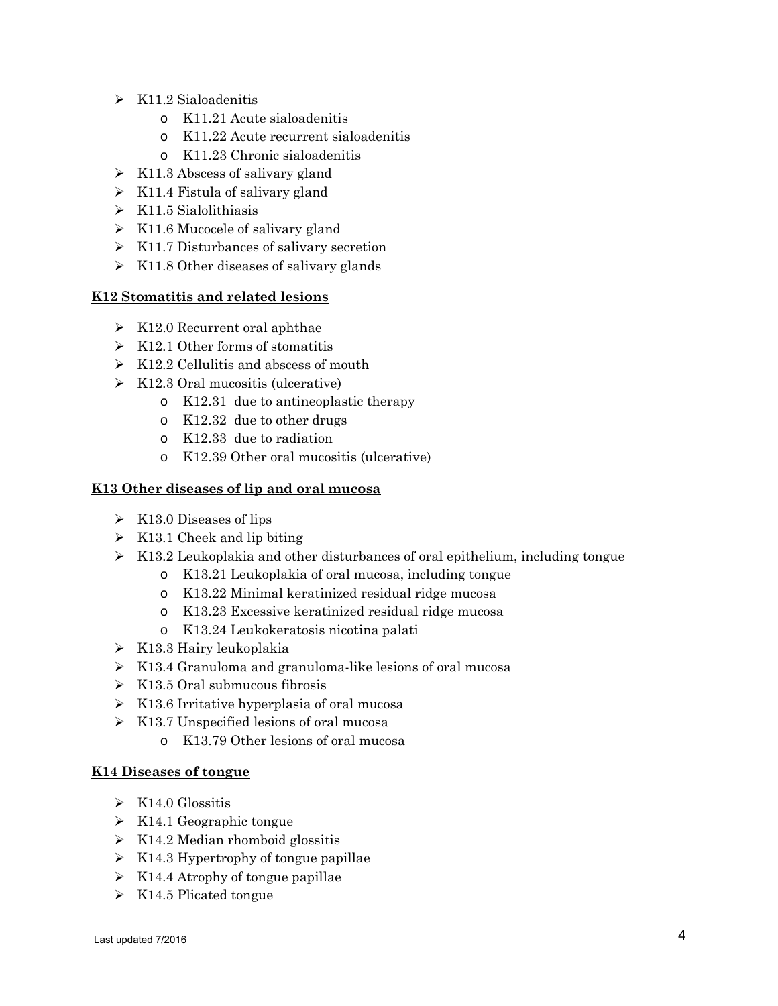- $\triangleright$  K11.2 Sialoadenitis
	- o K11.21 Acute sialoadenitis
	- o K11.22 Acute recurrent sialoadenitis
	- o K11.23 Chronic sialoadenitis
- $\triangleright$  K11.3 Abscess of salivary gland
- $\triangleright$  K11.4 Fistula of salivary gland
- $\triangleright$  K11.5 Sialolithiasis
- $\triangleright$  K11.6 Mucocele of salivary gland
- $\triangleright$  K11.7 Disturbances of salivary secretion
- $\triangleright$  K11.8 Other diseases of salivary glands

## **K12 Stomatitis and related lesions**

- $\triangleright$  K12.0 Recurrent oral aphthae
- $\triangleright$  K12.1 Other forms of stomatitis
- $\triangleright$  K12.2 Cellulitis and abscess of mouth
- $\triangleright$  K12.3 Oral mucositis (ulcerative)
	- o K12.31 due to antineoplastic therapy
	- o K12.32 due to other drugs
	- o K12.33 due to radiation
	- o K12.39 Other oral mucositis (ulcerative)

## **K13 Other diseases of lip and oral mucosa**

- $\triangleright$  K13.0 Diseases of lips
- $\triangleright$  K13.1 Cheek and lip biting
- $\triangleright$  K13.2 Leukoplakia and other disturbances of oral epithelium, including tongue
	- o K13.21 Leukoplakia of oral mucosa, including tongue
	- o K13.22 Minimal keratinized residual ridge mucosa
	- o K13.23 Excessive keratinized residual ridge mucosa
	- o K13.24 Leukokeratosis nicotina palati
- $\triangleright$  K13.3 Hairy leukoplakia
- $\triangleright$  K13.4 Granuloma and granuloma-like lesions of oral mucosa
- $\triangleright$  K13.5 Oral submucous fibrosis
- $\triangleright$  K13.6 Irritative hyperplasia of oral mucosa
- $\triangleright$  K13.7 Unspecified lesions of oral mucosa
	- o K13.79 Other lesions of oral mucosa

## **K14 Diseases of tongue**

- $\triangleright$  K14.0 Glossitis
- $\triangleright$  K14.1 Geographic tongue
- $\triangleright$  K14.2 Median rhomboid glossitis
- $\triangleright$  K14.3 Hypertrophy of tongue papillae
- $\triangleright$  K14.4 Atrophy of tongue papillae
- $\triangleright$  K14.5 Plicated tongue